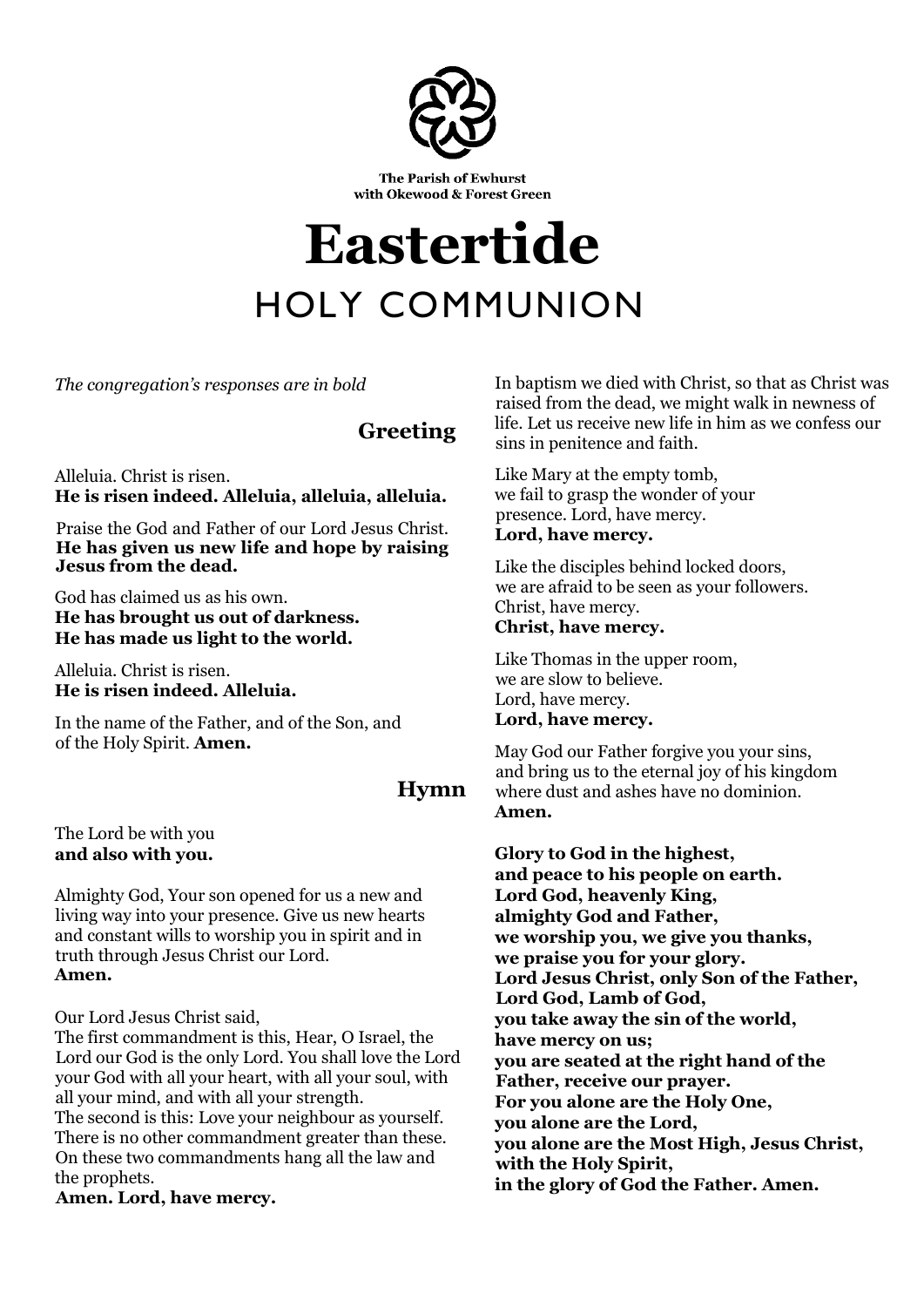

# **Eastertide**  HOLY COMMUNION

*The congregation's responses are in bold* 

## **Greeting**

Alleluia. Christ is risen. **He is risen indeed. Alleluia, alleluia, alleluia.** 

Praise the God and Father of our Lord Jesus Christ. **He has given us new life and hope by raising Jesus from the dead.** 

God has claimed us as his own. **He has brought us out of darkness. He has made us light to the world.**

Alleluia. Christ is risen. **He is risen indeed. Alleluia.** 

In the name of the Father, and of the Son, and of the Holy Spirit. **Amen.** 

## **Hymn**

The Lord be with you **and also with you.** 

Almighty God, Your son opened for us a new and living way into your presence. Give us new hearts and constant wills to worship you in spirit and in truth through Jesus Christ our Lord. **Amen.** 

Our Lord Jesus Christ said,

The first commandment is this, Hear, O Israel, the Lord our God is the only Lord. You shall love the Lord your God with all your heart, with all your soul, with all your mind, and with all your strength. The second is this: Love your neighbour as yourself. There is no other commandment greater than these. On these two commandments hang all the law and the prophets.

**Amen. Lord, have mercy.** 

In baptism we died with Christ, so that as Christ was raised from the dead, we might walk in newness of life. Let us receive new life in him as we confess our sins in penitence and faith.

Like Mary at the empty tomb, we fail to grasp the wonder of your presence. Lord, have mercy. **Lord, have mercy.** 

Like the disciples behind locked doors, we are afraid to be seen as your followers. Christ, have mercy. **Christ, have mercy.** 

Like Thomas in the upper room, we are slow to believe. Lord, have mercy. **Lord, have mercy.** 

May God our Father forgive you your sins, and bring us to the eternal joy of his kingdom where dust and ashes have no dominion. **Amen.** 

**Glory to God in the highest, and peace to his people on earth. Lord God, heavenly King, almighty God and Father, we worship you, we give you thanks, we praise you for your glory. Lord Jesus Christ, only Son of the Father, Lord God, Lamb of God, you take away the sin of the world, have mercy on us; you are seated at the right hand of the Father, receive our prayer. For you alone are the Holy One, you alone are the Lord, you alone are the Most High, Jesus Christ, with the Holy Spirit, in the glory of God the Father. Amen.**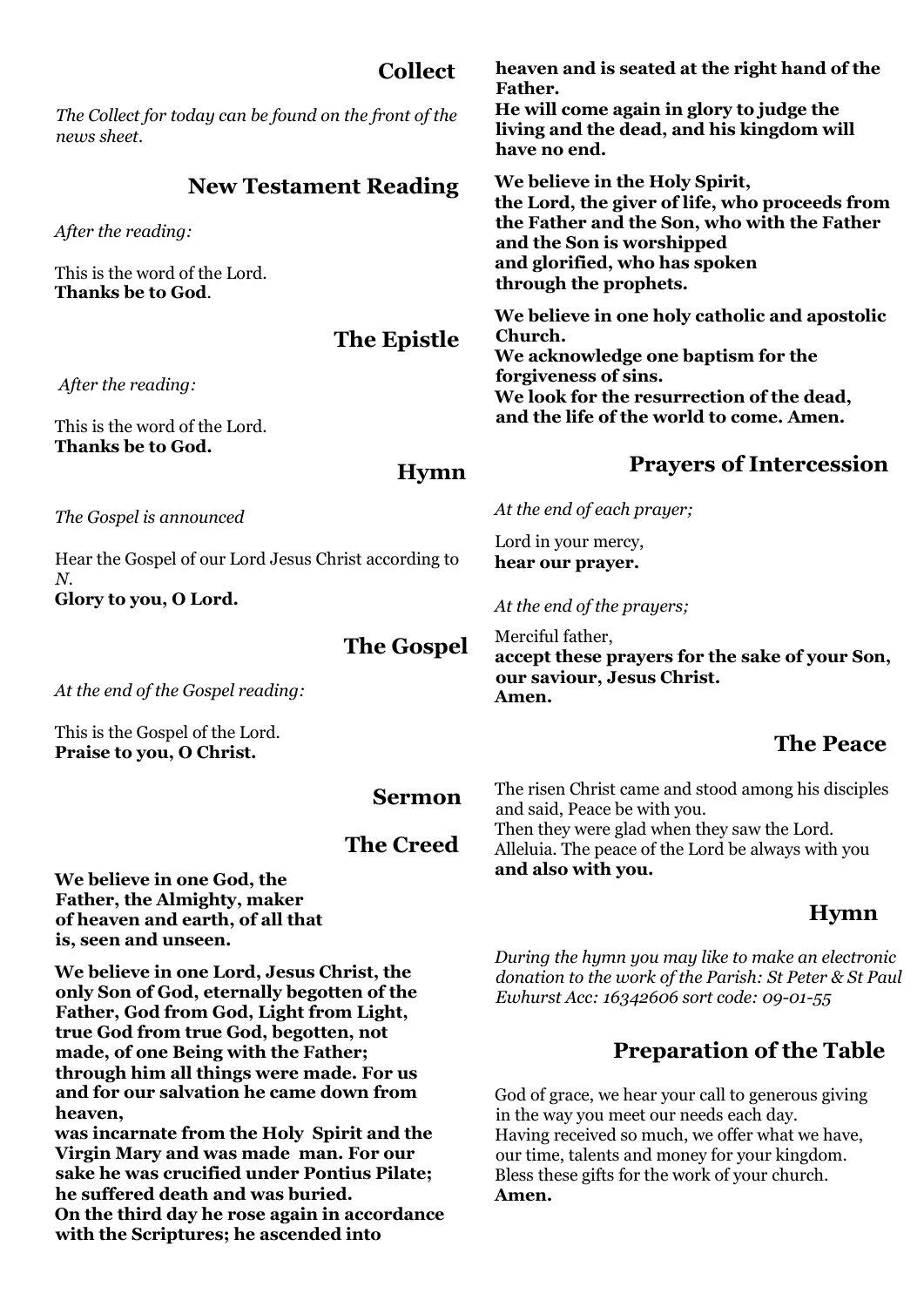| <b>Collect</b>                                                        | heaven and is seated at the right hand of the<br>Father.                                              |
|-----------------------------------------------------------------------|-------------------------------------------------------------------------------------------------------|
| The Collect for today can be found on the front of the<br>news sheet. | He will come again in glory to judge the<br>living and the dead, and his kingdom will<br>have no end. |
| <b>New Testament Reading</b>                                          | We believe in the Holy Spirit,<br>the Lord, the giver of life, who proceeds from                      |
| After the reading:                                                    | the Father and the Son, who with the Father<br>and the Son is worshipped                              |
| This is the word of the Lord.<br>Thanks be to God.                    | and glorified, who has spoken<br>through the prophets.                                                |
| <b>The Epistle</b>                                                    | We believe in one holy catholic and apostolic<br>Church.<br>We acknowledge one baptism for the        |
| After the reading:                                                    | forgiveness of sins.<br>We look for the resurrection of the dead,                                     |
| This is the word of the Lord.<br>---                                  | and the life of the world to come. Amen.                                                              |

**Thanks be to God.**

#### **Hymn**

*The Gospel is announced* 

Hear the Gospel of our Lord Jesus Christ according to *N.* **Glory to you, O Lord.** 

## **The Gospel**

*At the end of the Gospel reading:* 

This is the Gospel of the Lord. **Praise to you, O Christ.** 

#### **Serm**

**The Cred** 

**We believe in one God, the Father, the Almighty, maker of heaven and earth, of all that is, seen and unseen.** 

**We believe in one Lord, Jesus Christ, the only Son of God, eternally begotten of the Father, God from God, Light from Light, true God from true God, begotten, not made, of one Being with the Father; through him all things were made. For us and for our salvation he came down from heaven,** 

**was incarnate from the Holy Spirit and the Virgin Mary and was made man. For our sake he was crucified under Pontius Pilate; he suffered death and was buried. On the third day he rose again in accordance with the Scriptures; he ascended into** 

### **Prayers of Intercession**

*At the end of each prayer;*

Lord in your mercy, **hear our prayer.** 

*At the end of the prayers;*

Merciful father, **accept these prayers for the sake of your Son, our saviour, Jesus Christ. Amen.** 

## **The Peace**

| on | The risen Christ came and stood among his disciples<br>and said, Peace be with you.                                     |
|----|-------------------------------------------------------------------------------------------------------------------------|
| ed | Then they were glad when they saw the Lord.<br>Alleluia. The peace of the Lord be always with you<br>and also with you. |

## **Hymn**

*During the hymn you may like to make an electronic donation to the work of the Parish: St Peter & St Paul Ewhurst Acc: 16342606 sort code: 09-01-55* 

# **Preparation of the Table**

God of grace, we hear your call to generous giving in the way you meet our needs each day. Having received so much, we offer what we have, our time, talents and money for your kingdom. Bless these gifts for the work of your church. **Amen.**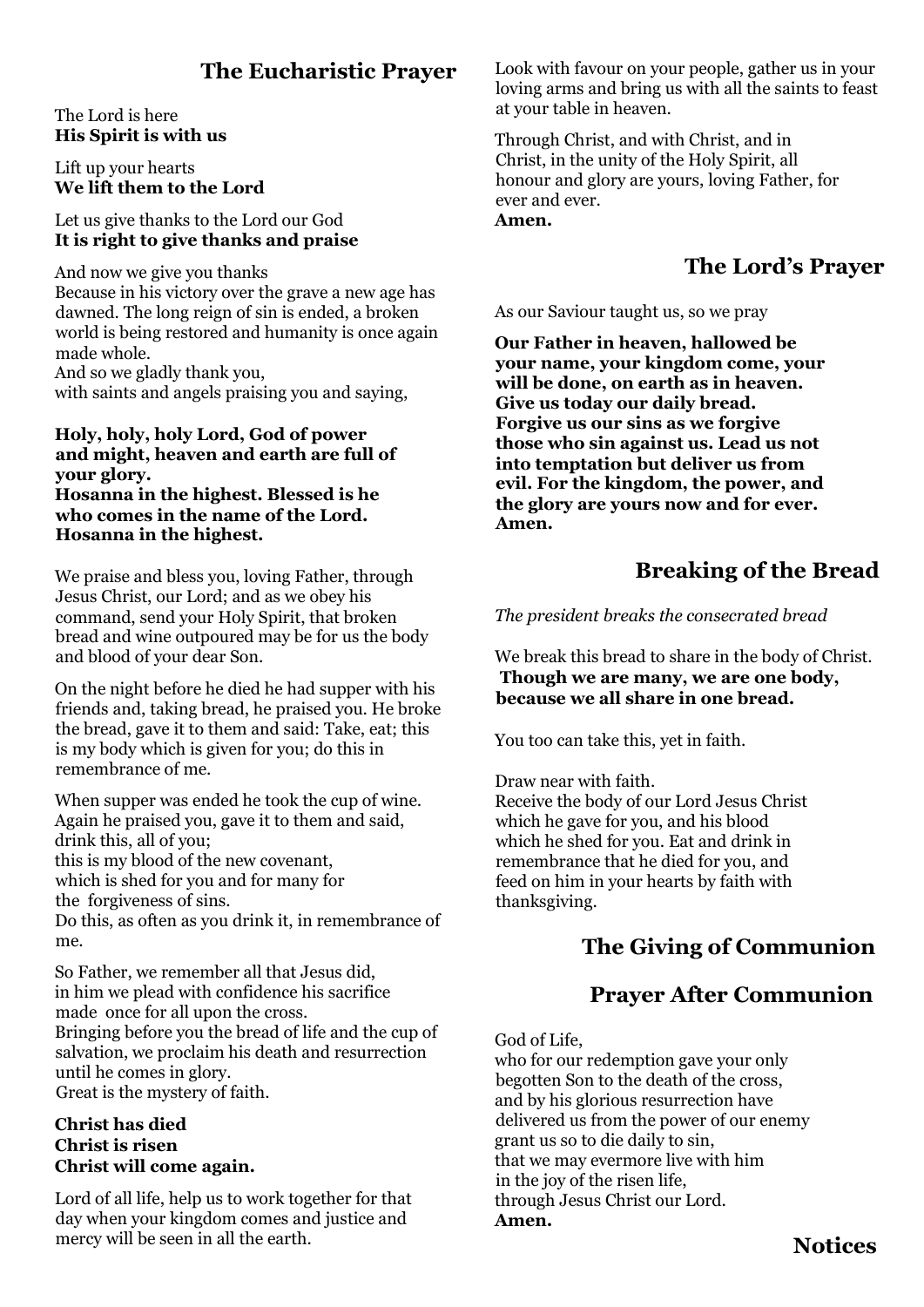The Lord is here **His Spirit is with us** 

Lift up your hearts **We lift them to the Lord** 

Let us give thanks to the Lord our God **It is right to give thanks and praise**

And now we give you thanks Because in his victory over the grave a new age has dawned. The long reign of sin is ended, a broken world is being restored and humanity is once again made whole.

And so we gladly thank you, with saints and angels praising you and saying,

#### **Holy, holy, holy Lord, God of power and might, heaven and earth are full of your glory.**

**Hosanna in the highest. Blessed is he who comes in the name of the Lord. Hosanna in the highest.** 

We praise and bless you, loving Father, through Jesus Christ, our Lord; and as we obey his command, send your Holy Spirit, that broken bread and wine outpoured may be for us the body and blood of your dear Son.

On the night before he died he had supper with his friends and, taking bread, he praised you. He broke the bread, gave it to them and said: Take, eat; this is my body which is given for you; do this in remembrance of me.

When supper was ended he took the cup of wine. Again he praised you, gave it to them and said, drink this, all of you; this is my blood of the new covenant, which is shed for you and for many for the forgiveness of sins.

Do this, as often as you drink it, in remembrance of me.

So Father, we remember all that Jesus did, in him we plead with confidence his sacrifice made once for all upon the cross. Bringing before you the bread of life and the cup of salvation, we proclaim his death and resurrection until he comes in glory. Great is the mystery of faith.

#### **Christ has died Christ is risen Christ will come again.**

Lord of all life, help us to work together for that day when your kingdom comes and justice and mercy will be seen in all the earth.

Look with favour on your people, gather us in your loving arms and bring us with all the saints to feast at your table in heaven.

Through Christ, and with Christ, and in Christ, in the unity of the Holy Spirit, all honour and glory are yours, loving Father, for ever and ever. **Amen.** 

# **The Lord's Prayer**

As our Saviour taught us, so we pray

**Our Father in heaven, hallowed be your name, your kingdom come, your will be done, on earth as in heaven. Give us today our daily bread. Forgive us our sins as we forgive those who sin against us. Lead us not into temptation but deliver us from evil. For the kingdom, the power, and the glory are yours now and for ever. Amen.** 

# **Breaking of the Bread**

*The president breaks the consecrated bread* 

We break this bread to share in the body of Christ. **Though we are many, we are one body, because we all share in one bread.**

You too can take this, yet in faith.

Draw near with faith.

Receive the body of our Lord Jesus Christ which he gave for you, and his blood which he shed for you. Eat and drink in remembrance that he died for you, and feed on him in your hearts by faith with thanksgiving.

# **The Giving of Communion**

# **Prayer After Communion**

God of Life,

who for our redemption gave your only begotten Son to the death of the cross, and by his glorious resurrection have delivered us from the power of our enemy grant us so to die daily to sin, that we may evermore live with him in the joy of the risen life, through Jesus Christ our Lord. **Amen.**